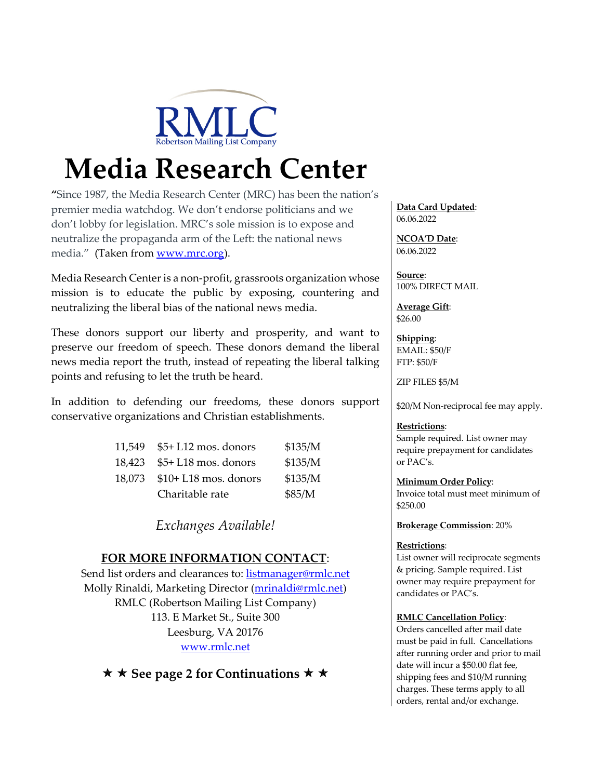

# **Media Research Center**

**"**Since 1987, the Media Research Center (MRC) has been the nation's premier media watchdog. We don't endorse politicians and we don't lobby for legislation. MRC's sole mission is to expose and neutralize the propaganda arm of the Left: the national news media." (Taken from www.mrc.org).

Media Research Center is a non-profit, grassroots organization whose mission is to educate the public by exposing, countering and neutralizing the liberal bias of the national news media.

These donors support our liberty and prosperity, and want to preserve our freedom of speech. These donors demand the liberal news media report the truth, instead of repeating the liberal talking points and refusing to let the truth be heard.

In addition to defending our freedoms, these donors support conservative organizations and Christian establishments.

| 11.549 | \$5+ L12 mos. donors  | \$135/M |
|--------|-----------------------|---------|
| 18.423 | $$5+L18$ mos. donors  | \$135/M |
| 18,073 | $$10+L18$ mos. donors | \$135/M |
|        | Charitable rate       | \$85/M  |

*Exchanges Available!*

### **FOR MORE INFORMATION CONTACT**:

Send list orders and clearances to: listmanager@rmlc.net Molly Rinaldi, Marketing Director (mrinaldi@rmlc.net) RMLC (Robertson Mailing List Company) 113. E Market St., Suite 300 Leesburg, VA 20176 www.rmlc.net

**★ ★ See page 2 for Continuations ★ ★** 

**Data Card Updated**: 06.06.2022

**NCOA'D Date**: 06.06.2022

**Source**: 100% DIRECT MAIL

**Average Gift**: \$26.00

**Shipping**: EMAIL: \$50/F FTP: \$50/F

ZIP FILES \$5/M

\$20/M Non-reciprocal fee may apply.

#### **Restrictions**:

Sample required. List owner may require prepayment for candidates or PAC's.

**Minimum Order Policy**:

Invoice total must meet minimum of \$250.00

**Brokerage Commission**: 20%

#### **Restrictions**:

List owner will reciprocate segments & pricing. Sample required. List owner may require prepayment for candidates or PAC's.

#### **RMLC Cancellation Policy**:

Orders cancelled after mail date must be paid in full. Cancellations after running order and prior to mail date will incur a \$50.00 flat fee, shipping fees and \$10/M running charges. These terms apply to all orders, rental and/or exchange.